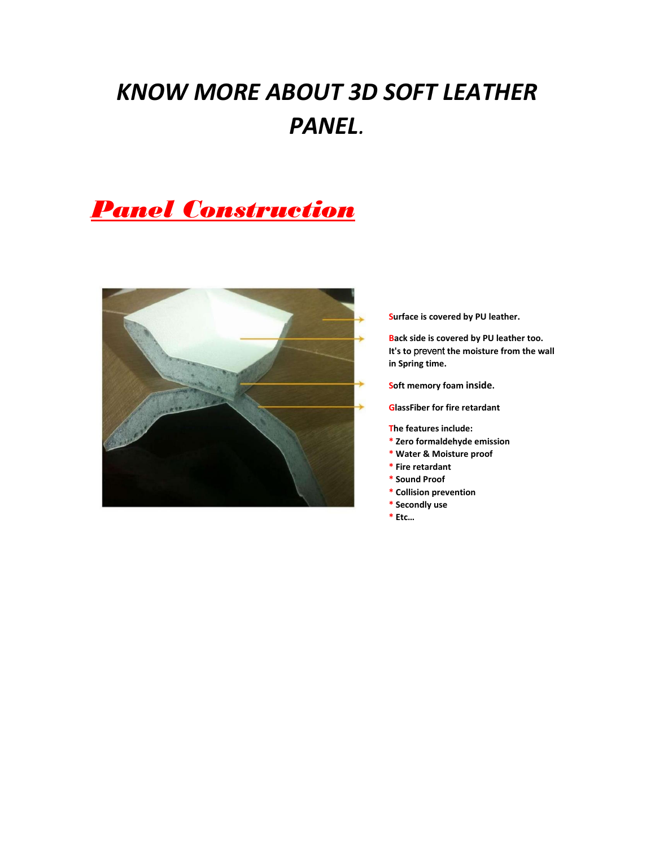# *KNOW MORE ABOUT 3D SOFT LEATHER PANEL.*

## *Panel Construction*



**Surface is covered by PU leather.** 

**Back side is covered by PU leather too. It's to** prevent **the moisture from the wall in Spring time.** 

**Soft memory foam inside.**

**GlassFiber for fire retardant**

**The features include:** 

- **\* Zero formaldehyde emission**
- **\* Water & Moisture proof**
- **\* Fire retardant**
- **\* Sound Proof**
- **\* Collision prevention**
- **\* Secondly use**
- **\* Etc…**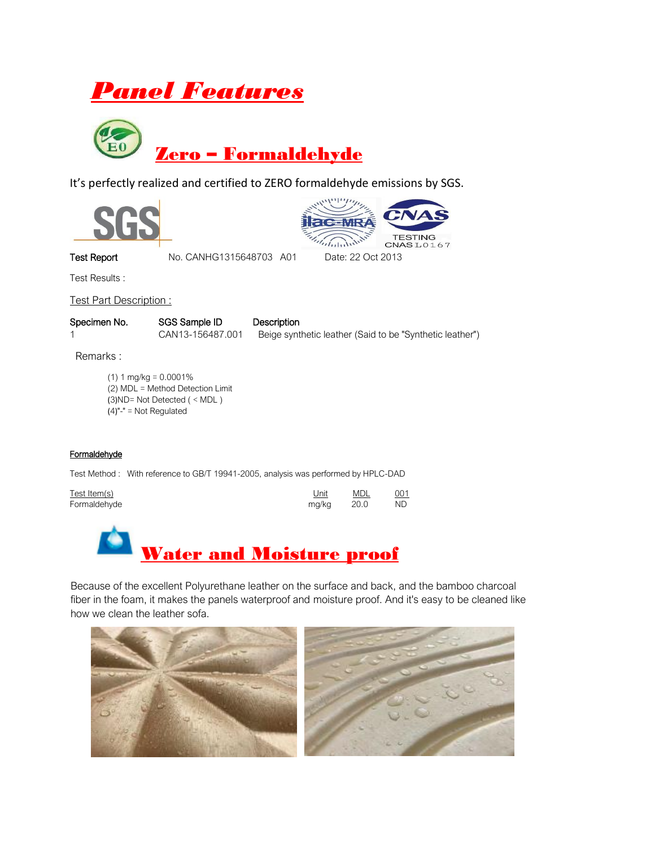



It's perfectly realized and certified to ZERO formaldehyde emissions by SGS.





Test Results :

Test Part Description :

Specimen No. SGS Sample ID Description 1 CAN13-156487.001 Beige synthetic leather (Said to be "Synthetic leather")

Remarks :

(1)  $1 \text{ mg/kg} = 0.0001\%$ (2) MDL = Method Detection Limit (3)ND= Not Detected ( < MDL ) (4)"-" = Not Regulated

#### **Formaldehyde**

Test Method : With reference to GB/T 19941-2005, analysis was performed by HPLC-DAD

| Test Item(s) | Unit  | MDL    | 001 |
|--------------|-------|--------|-----|
| Formaldehyde | mg/kg | - 20.0 | ND. |



Because of the excellent Polyurethane leather on the surface and back, and the bamboo charcoal fiber in the foam, it makes the panels waterproof and moisture proof. And it's easy to be cleaned like how we clean the leather sofa.

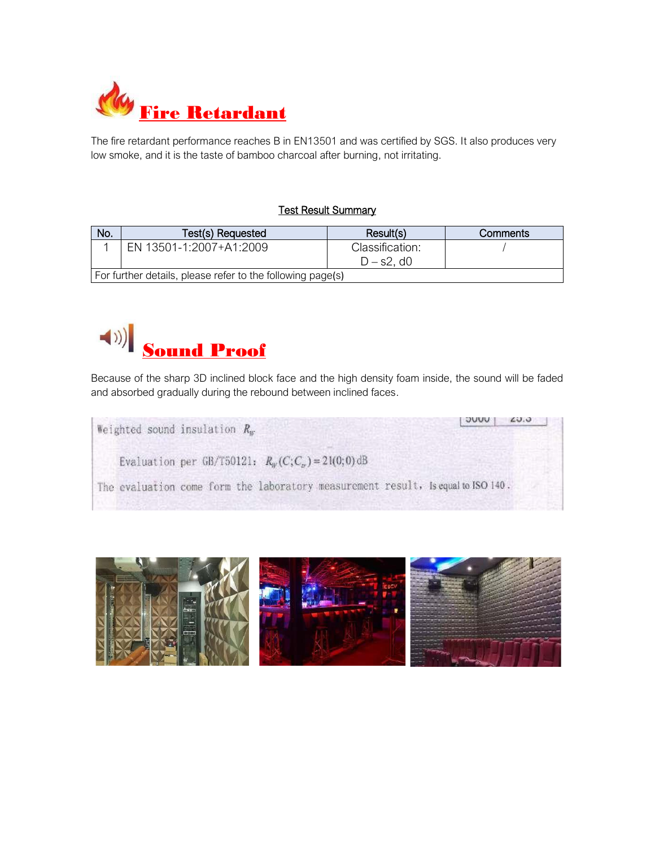

The fire retardant performance reaches B in EN13501 and was certified by SGS. It also produces very low smoke, and it is the taste of bamboo charcoal after burning, not irritating.

#### **Test Result Summary**

| No.                                                        | Test(s) Requested       | Result(s)        | Comments |  |
|------------------------------------------------------------|-------------------------|------------------|----------|--|
|                                                            | EN 13501-1:2007+A1:2009 | Classification:  |          |  |
|                                                            |                         | $D - s2$ , d $0$ |          |  |
| For further details, please refer to the following page(s) |                         |                  |          |  |



Because of the sharp 3D inclined block face and the high density foam inside, the sound will be faded and absorbed gradually during the rebound between inclined faces.

 $7000$  $LU.0$ Weighted sound insulation  $R_w$ Evaluation per GB/T50121:  $R_W(C; C_v) = 21(0; 0)$ dB The evaluation come form the laboratory measurement result, is equal to ISO 140.

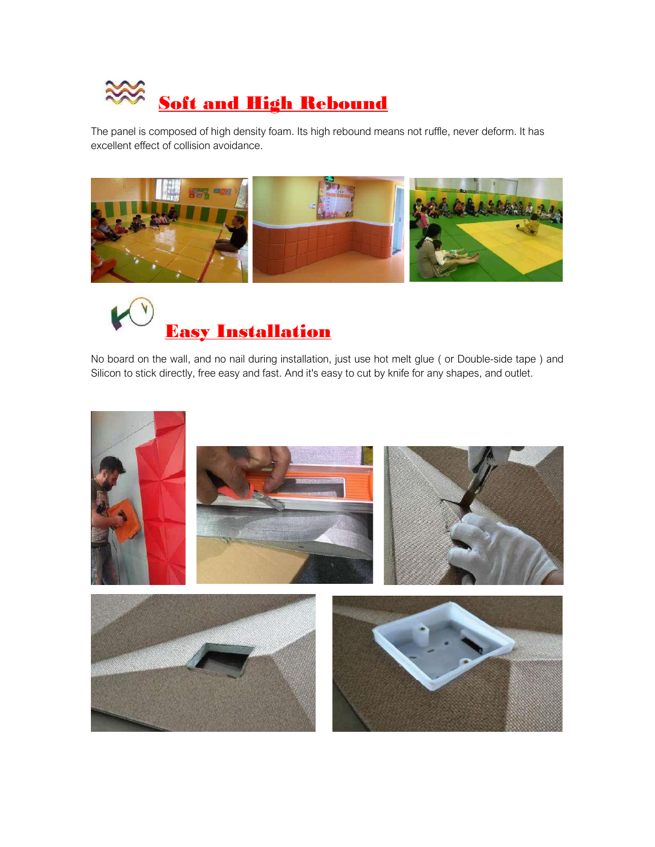

The panel is composed of high density foam. Its high rebound means not ruffle, never deform. It has excellent effect of collision avoidance.





No board on the wall, and no nail during installation, just use hot melt glue ( or Double-side tape ) and Silicon to stick directly, free easy and fast. And it's easy to cut by knife for any shapes, and outlet.

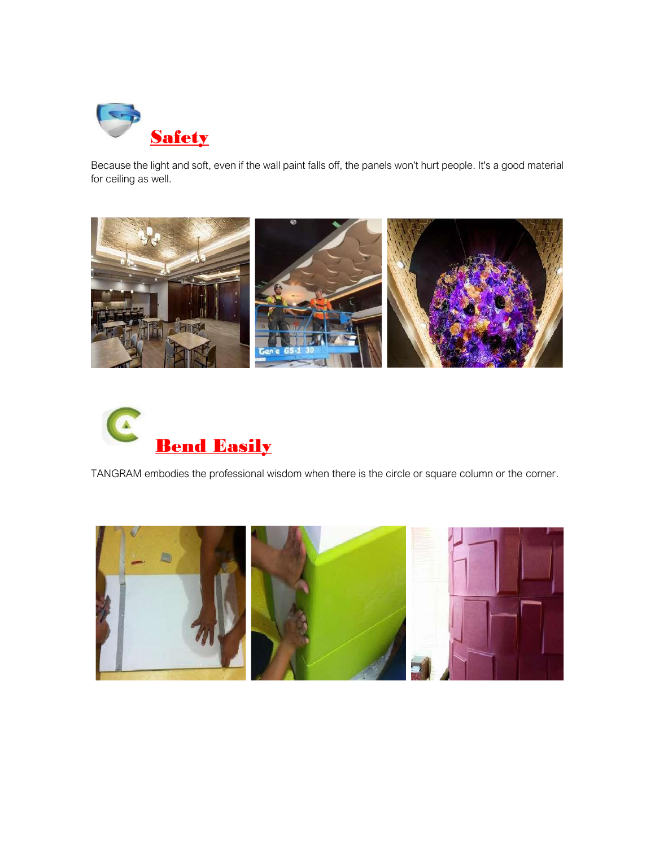

Because the light and soft, even if the wall paint falls off, the panels won't hurt people. It's a good material for ceiling as well.





TANGRAM embodies the professional wisdom when there is the circle or square column or the corner.